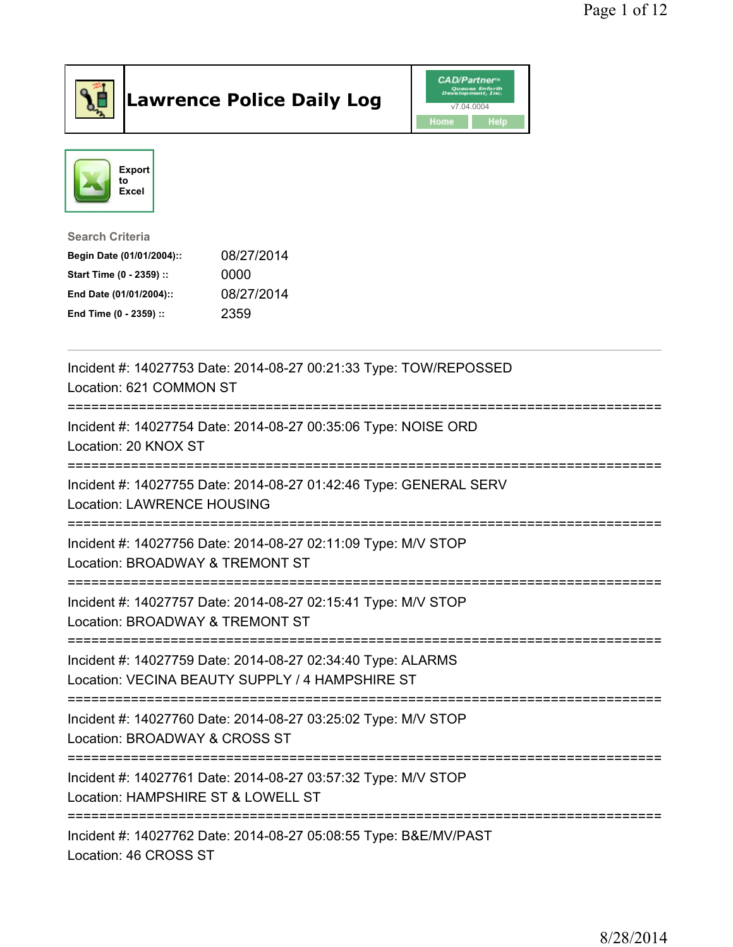

## Lawrence Police Daily Log Value of the CAD/Partner





Search Criteria

| Begin Date (01/01/2004):: | 08/27/2014 |
|---------------------------|------------|
| Start Time (0 - 2359) ::  | 0000       |
| End Date (01/01/2004)::   | 08/27/2014 |
| End Time (0 - 2359) ::    | 2359       |

| Incident #: 14027753 Date: 2014-08-27 00:21:33 Type: TOW/REPOSSED<br>Location: 621 COMMON ST                                     |
|----------------------------------------------------------------------------------------------------------------------------------|
| Incident #: 14027754 Date: 2014-08-27 00:35:06 Type: NOISE ORD<br>Location: 20 KNOX ST                                           |
| Incident #: 14027755 Date: 2014-08-27 01:42:46 Type: GENERAL SERV<br><b>Location: LAWRENCE HOUSING</b>                           |
| Incident #: 14027756 Date: 2014-08-27 02:11:09 Type: M/V STOP<br>Location: BROADWAY & TREMONT ST                                 |
| Incident #: 14027757 Date: 2014-08-27 02:15:41 Type: M/V STOP<br>Location: BROADWAY & TREMONT ST<br>---------------------------- |
| Incident #: 14027759 Date: 2014-08-27 02:34:40 Type: ALARMS<br>Location: VECINA BEAUTY SUPPLY / 4 HAMPSHIRE ST                   |
| Incident #: 14027760 Date: 2014-08-27 03:25:02 Type: M/V STOP<br>Location: BROADWAY & CROSS ST<br>==========                     |
| Incident #: 14027761 Date: 2014-08-27 03:57:32 Type: M/V STOP<br>Location: HAMPSHIRE ST & LOWELL ST                              |
| Incident #: 14027762 Date: 2014-08-27 05:08:55 Type: B&E/MV/PAST<br>Location: 46 CROSS ST                                        |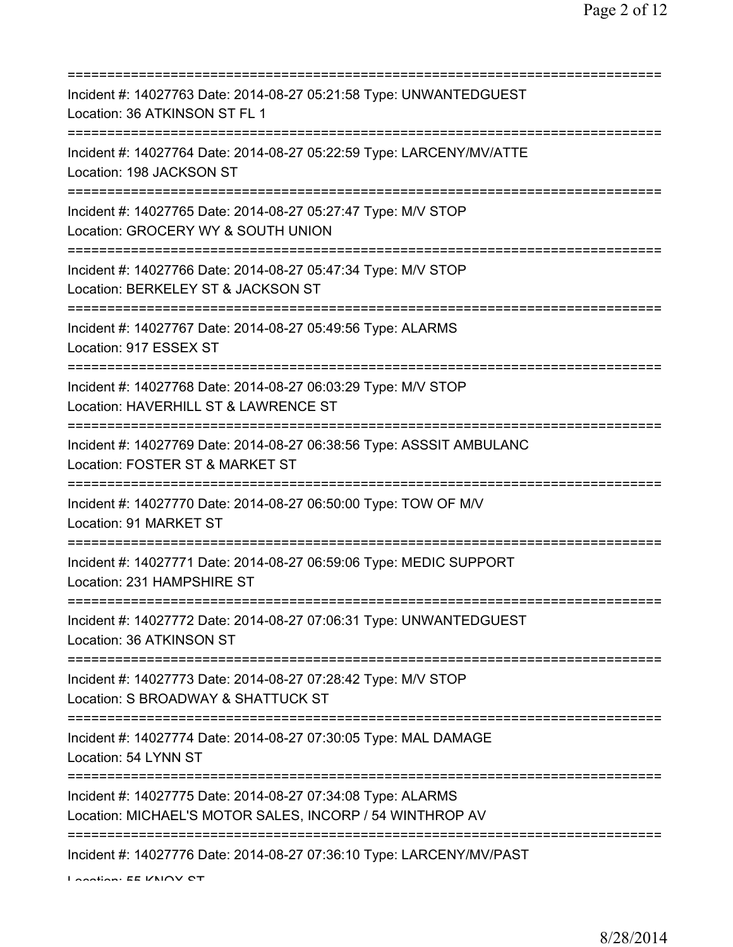| Incident #: 14027763 Date: 2014-08-27 05:21:58 Type: UNWANTEDGUEST<br>Location: 36 ATKINSON ST FL 1                                                    |
|--------------------------------------------------------------------------------------------------------------------------------------------------------|
| Incident #: 14027764 Date: 2014-08-27 05:22:59 Type: LARCENY/MV/ATTE<br>Location: 198 JACKSON ST                                                       |
| Incident #: 14027765 Date: 2014-08-27 05:27:47 Type: M/V STOP<br>Location: GROCERY WY & SOUTH UNION                                                    |
| Incident #: 14027766 Date: 2014-08-27 05:47:34 Type: M/V STOP<br>Location: BERKELEY ST & JACKSON ST                                                    |
| Incident #: 14027767 Date: 2014-08-27 05:49:56 Type: ALARMS<br>Location: 917 ESSEX ST<br>===================================                           |
| Incident #: 14027768 Date: 2014-08-27 06:03:29 Type: M/V STOP<br>Location: HAVERHILL ST & LAWRENCE ST                                                  |
| Incident #: 14027769 Date: 2014-08-27 06:38:56 Type: ASSSIT AMBULANC<br>Location: FOSTER ST & MARKET ST                                                |
| Incident #: 14027770 Date: 2014-08-27 06:50:00 Type: TOW OF M/V<br>Location: 91 MARKET ST                                                              |
| Incident #: 14027771 Date: 2014-08-27 06:59:06 Type: MEDIC SUPPORT<br>Location: 231 HAMPSHIRE ST                                                       |
| Incident #: 14027772 Date: 2014-08-27 07:06:31 Type: UNWANTEDGUEST<br>Location: 36 ATKINSON ST                                                         |
| Incident #: 14027773 Date: 2014-08-27 07:28:42 Type: M/V STOP<br>Location: S BROADWAY & SHATTUCK ST                                                    |
| Incident #: 14027774 Date: 2014-08-27 07:30:05 Type: MAL DAMAGE<br>Location: 54 LYNN ST                                                                |
| ===========================<br>Incident #: 14027775 Date: 2014-08-27 07:34:08 Type: ALARMS<br>Location: MICHAEL'S MOTOR SALES, INCORP / 54 WINTHROP AV |
| Incident #: 14027776 Date: 2014-08-27 07:36:10 Type: LARCENY/MV/PAST                                                                                   |

Location: EE VNIOV OT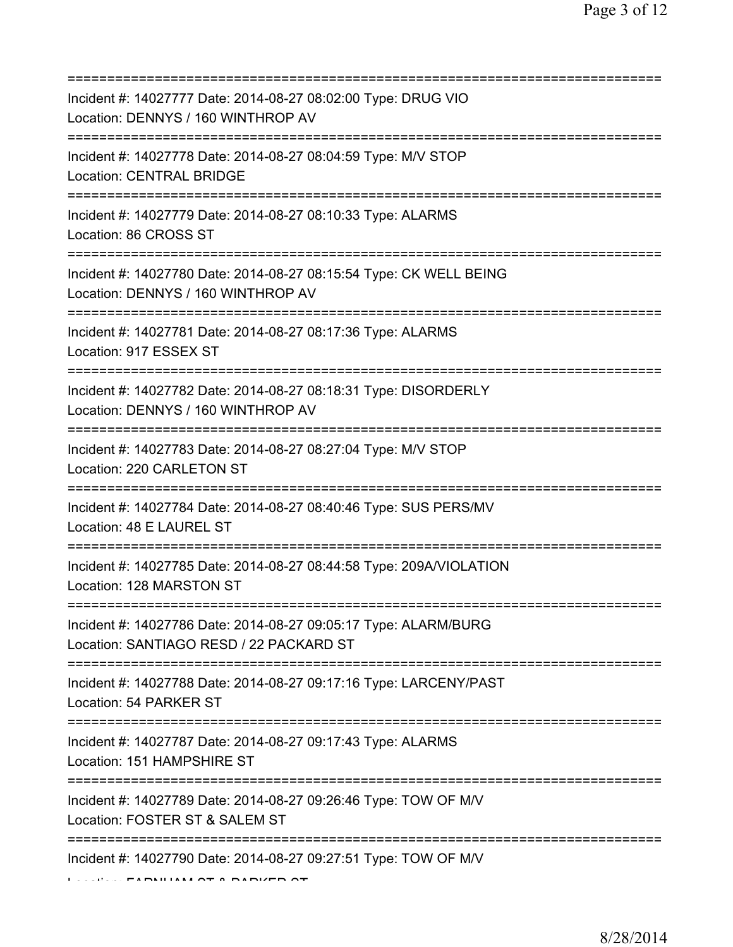| Incident #: 14027777 Date: 2014-08-27 08:02:00 Type: DRUG VIO<br>Location: DENNYS / 160 WINTHROP AV                                       |
|-------------------------------------------------------------------------------------------------------------------------------------------|
| Incident #: 14027778 Date: 2014-08-27 08:04:59 Type: M/V STOP<br><b>Location: CENTRAL BRIDGE</b>                                          |
| Incident #: 14027779 Date: 2014-08-27 08:10:33 Type: ALARMS<br>Location: 86 CROSS ST                                                      |
| Incident #: 14027780 Date: 2014-08-27 08:15:54 Type: CK WELL BEING<br>Location: DENNYS / 160 WINTHROP AV                                  |
| Incident #: 14027781 Date: 2014-08-27 08:17:36 Type: ALARMS<br>Location: 917 ESSEX ST                                                     |
| ================================<br>Incident #: 14027782 Date: 2014-08-27 08:18:31 Type: DISORDERLY<br>Location: DENNYS / 160 WINTHROP AV |
| Incident #: 14027783 Date: 2014-08-27 08:27:04 Type: M/V STOP<br>Location: 220 CARLETON ST                                                |
| Incident #: 14027784 Date: 2014-08-27 08:40:46 Type: SUS PERS/MV<br>Location: 48 E LAUREL ST                                              |
| Incident #: 14027785 Date: 2014-08-27 08:44:58 Type: 209A/VIOLATION<br>Location: 128 MARSTON ST                                           |
| Incident #: 14027786 Date: 2014-08-27 09:05:17 Type: ALARM/BURG<br>Location: SANTIAGO RESD / 22 PACKARD ST                                |
| Incident #: 14027788 Date: 2014-08-27 09:17:16 Type: LARCENY/PAST<br>Location: 54 PARKER ST                                               |
| Incident #: 14027787 Date: 2014-08-27 09:17:43 Type: ALARMS<br>Location: 151 HAMPSHIRE ST                                                 |
| Incident #: 14027789 Date: 2014-08-27 09:26:46 Type: TOW OF M/V<br>Location: FOSTER ST & SALEM ST                                         |
| =================================<br>Incident #: 14027790 Date: 2014-08-27 09:27:51 Type: TOW OF M/V                                      |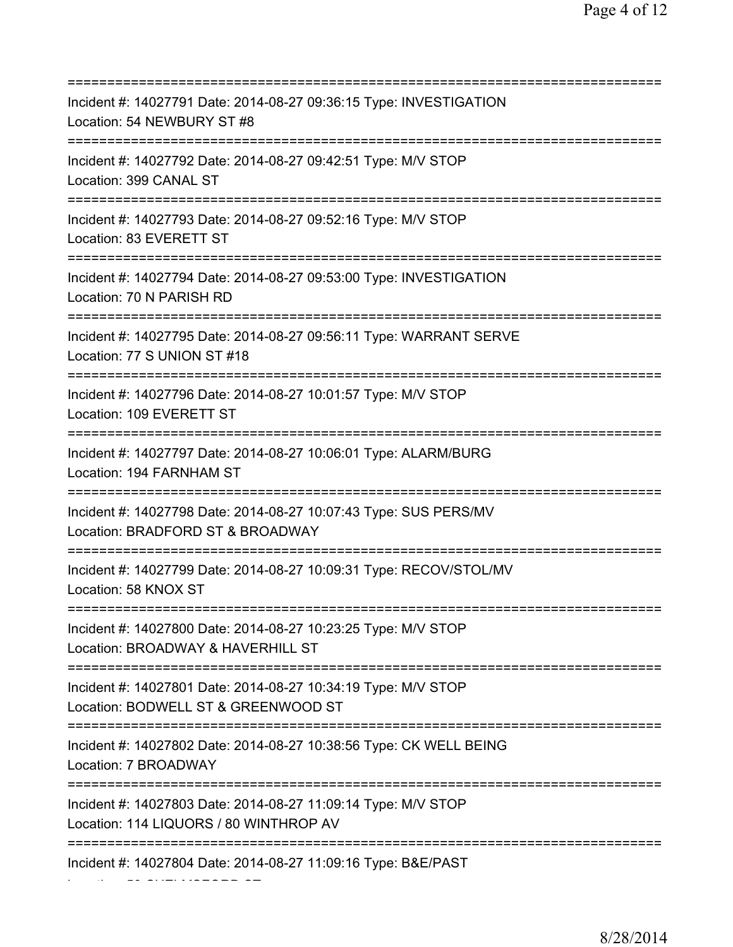=========================================================================== Incident #: 14027791 Date: 2014-08-27 09:36:15 Type: INVESTIGATION Location: 54 NEWBURY ST #8 =========================================================================== Incident #: 14027792 Date: 2014-08-27 09:42:51 Type: M/V STOP Location: 399 CANAL ST =========================================================================== Incident #: 14027793 Date: 2014-08-27 09:52:16 Type: M/V STOP Location: 83 EVERETT ST =========================================================================== Incident #: 14027794 Date: 2014-08-27 09:53:00 Type: INVESTIGATION Location: 70 N PARISH RD =========================================================================== Incident #: 14027795 Date: 2014-08-27 09:56:11 Type: WARRANT SERVE Location: 77 S UNION ST #18 =========================================================================== Incident #: 14027796 Date: 2014-08-27 10:01:57 Type: M/V STOP Location: 109 EVERETT ST =========================================================================== Incident #: 14027797 Date: 2014-08-27 10:06:01 Type: ALARM/BURG Location: 194 FARNHAM ST =========================================================================== Incident #: 14027798 Date: 2014-08-27 10:07:43 Type: SUS PERS/MV Location: BRADFORD ST & BROADWAY =========================================================================== Incident #: 14027799 Date: 2014-08-27 10:09:31 Type: RECOV/STOL/MV Location: 58 KNOX ST =========================================================================== Incident #: 14027800 Date: 2014-08-27 10:23:25 Type: M/V STOP Location: BROADWAY & HAVERHILL ST =========================================================================== Incident #: 14027801 Date: 2014-08-27 10:34:19 Type: M/V STOP Location: BODWELL ST & GREENWOOD ST =========================================================================== Incident #: 14027802 Date: 2014-08-27 10:38:56 Type: CK WELL BEING Location: 7 BROADWAY =========================================================================== Incident #: 14027803 Date: 2014-08-27 11:09:14 Type: M/V STOP Location: 114 LIQUORS / 80 WINTHROP AV =========================================================================== Incident #: 14027804 Date: 2014-08-27 11:09:16 Type: B&E/PAST

Location: 50 CHELMSFORD ST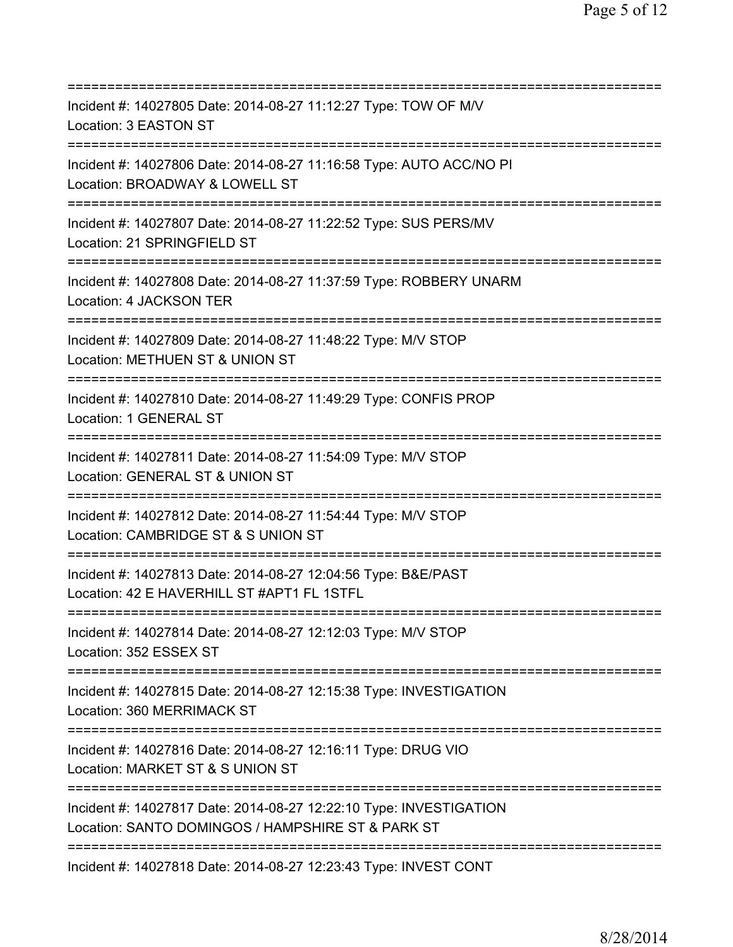| Incident #: 14027805 Date: 2014-08-27 11:12:27 Type: TOW OF M/V<br>Location: 3 EASTON ST                                                 |
|------------------------------------------------------------------------------------------------------------------------------------------|
| Incident #: 14027806 Date: 2014-08-27 11:16:58 Type: AUTO ACC/NO PI<br>Location: BROADWAY & LOWELL ST                                    |
| Incident #: 14027807 Date: 2014-08-27 11:22:52 Type: SUS PERS/MV<br>Location: 21 SPRINGFIELD ST                                          |
| Incident #: 14027808 Date: 2014-08-27 11:37:59 Type: ROBBERY UNARM<br>Location: 4 JACKSON TER                                            |
| Incident #: 14027809 Date: 2014-08-27 11:48:22 Type: M/V STOP<br>Location: METHUEN ST & UNION ST                                         |
| Incident #: 14027810 Date: 2014-08-27 11:49:29 Type: CONFIS PROP<br>Location: 1 GENERAL ST<br>===================================        |
| Incident #: 14027811 Date: 2014-08-27 11:54:09 Type: M/V STOP<br>Location: GENERAL ST & UNION ST                                         |
| Incident #: 14027812 Date: 2014-08-27 11:54:44 Type: M/V STOP<br>Location: CAMBRIDGE ST & S UNION ST                                     |
| Incident #: 14027813 Date: 2014-08-27 12:04:56 Type: B&E/PAST<br>Location: 42 E HAVERHILL ST #APT1 FL 1STFL                              |
| Incident #: 14027814 Date: 2014-08-27 12:12:03 Type: M/V STOP<br>Location: 352 ESSEX ST                                                  |
| Incident #: 14027815 Date: 2014-08-27 12:15:38 Type: INVESTIGATION<br>Location: 360 MERRIMACK ST<br>==================================== |
| Incident #: 14027816 Date: 2014-08-27 12:16:11 Type: DRUG VIO<br>Location: MARKET ST & S UNION ST                                        |
| Incident #: 14027817 Date: 2014-08-27 12:22:10 Type: INVESTIGATION<br>Location: SANTO DOMINGOS / HAMPSHIRE ST & PARK ST                  |
| Incident #: 14027818 Date: 2014-08-27 12:23:43 Type: INVEST CONT                                                                         |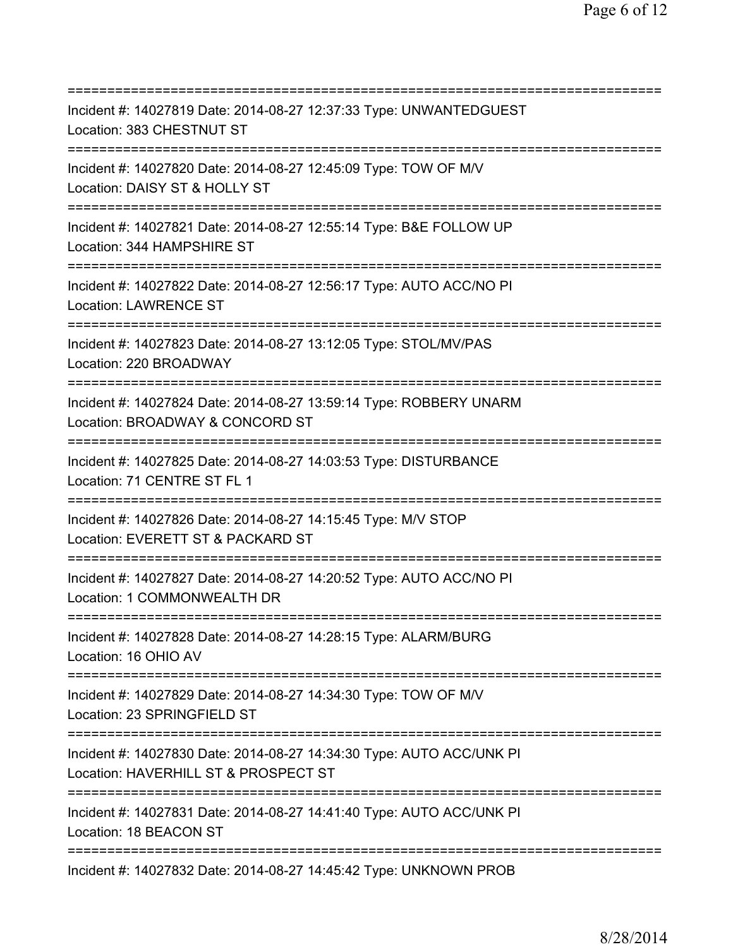=========================================================================== Incident #: 14027819 Date: 2014-08-27 12:37:33 Type: UNWANTEDGUEST Location: 383 CHESTNUT ST =========================================================================== Incident #: 14027820 Date: 2014-08-27 12:45:09 Type: TOW OF M/V Location: DAISY ST & HOLLY ST =========================================================================== Incident #: 14027821 Date: 2014-08-27 12:55:14 Type: B&E FOLLOW UP Location: 344 HAMPSHIRE ST =========================================================================== Incident #: 14027822 Date: 2014-08-27 12:56:17 Type: AUTO ACC/NO PI Location: LAWRENCE ST =========================================================================== Incident #: 14027823 Date: 2014-08-27 13:12:05 Type: STOL/MV/PAS Location: 220 BROADWAY =========================================================================== Incident #: 14027824 Date: 2014-08-27 13:59:14 Type: ROBBERY UNARM Location: BROADWAY & CONCORD ST =========================================================================== Incident #: 14027825 Date: 2014-08-27 14:03:53 Type: DISTURBANCE Location: 71 CENTRE ST FL 1 =========================================================================== Incident #: 14027826 Date: 2014-08-27 14:15:45 Type: M/V STOP Location: EVERETT ST & PACKARD ST =========================================================================== Incident #: 14027827 Date: 2014-08-27 14:20:52 Type: AUTO ACC/NO PI Location: 1 COMMONWEALTH DR =========================================================================== Incident #: 14027828 Date: 2014-08-27 14:28:15 Type: ALARM/BURG Location: 16 OHIO AV =========================================================================== Incident #: 14027829 Date: 2014-08-27 14:34:30 Type: TOW OF M/V Location: 23 SPRINGFIELD ST =========================================================================== Incident #: 14027830 Date: 2014-08-27 14:34:30 Type: AUTO ACC/UNK PI Location: HAVERHILL ST & PROSPECT ST =========================================================================== Incident #: 14027831 Date: 2014-08-27 14:41:40 Type: AUTO ACC/UNK PI Location: 18 BEACON ST =========================================================================== Incident #: 14027832 Date: 2014-08-27 14:45:42 Type: UNKNOWN PROB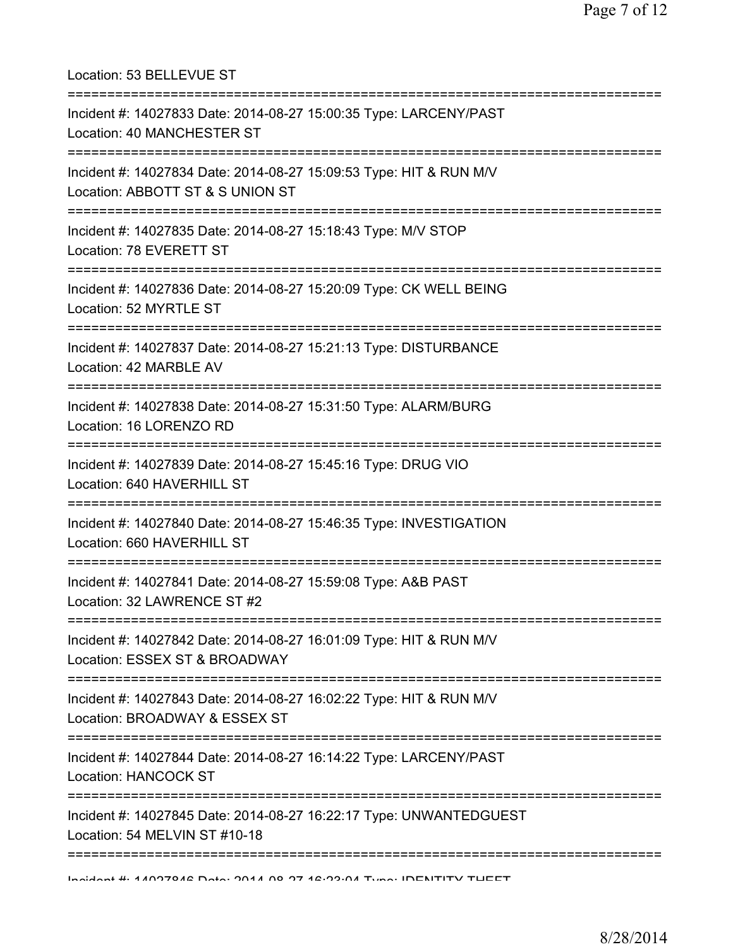| Location: 53 BELLEVUE ST                                                                                                                                 |
|----------------------------------------------------------------------------------------------------------------------------------------------------------|
| Incident #: 14027833 Date: 2014-08-27 15:00:35 Type: LARCENY/PAST<br>Location: 40 MANCHESTER ST                                                          |
| Incident #: 14027834 Date: 2014-08-27 15:09:53 Type: HIT & RUN M/V<br>Location: ABBOTT ST & S UNION ST                                                   |
| Incident #: 14027835 Date: 2014-08-27 15:18:43 Type: M/V STOP<br>Location: 78 EVERETT ST<br>==============================                               |
| Incident #: 14027836 Date: 2014-08-27 15:20:09 Type: CK WELL BEING<br>Location: 52 MYRTLE ST                                                             |
| ==============================<br>Incident #: 14027837 Date: 2014-08-27 15:21:13 Type: DISTURBANCE<br>Location: 42 MARBLE AV                             |
| :=========================<br>--------====================<br>Incident #: 14027838 Date: 2014-08-27 15:31:50 Type: ALARM/BURG<br>Location: 16 LORENZO RD |
| Incident #: 14027839 Date: 2014-08-27 15:45:16 Type: DRUG VIO<br>Location: 640 HAVERHILL ST                                                              |
| Incident #: 14027840 Date: 2014-08-27 15:46:35 Type: INVESTIGATION<br>Location: 660 HAVERHILL ST                                                         |
| Incident #: 14027841 Date: 2014-08-27 15:59:08 Type: A&B PAST<br>Location: 32 LAWRENCE ST #2                                                             |
| Incident #: 14027842 Date: 2014-08-27 16:01:09 Type: HIT & RUN M/V<br>Location: ESSEX ST & BROADWAY                                                      |
| Incident #: 14027843 Date: 2014-08-27 16:02:22 Type: HIT & RUN M/V<br>Location: BROADWAY & ESSEX ST                                                      |
| Incident #: 14027844 Date: 2014-08-27 16:14:22 Type: LARCENY/PAST<br>Location: HANCOCK ST                                                                |
| Incident #: 14027845 Date: 2014-08-27 16:22:17 Type: UNWANTEDGUEST<br>Location: 54 MELVIN ST #10-18                                                      |
| Incident #: 4 ADD 70 AC Data: 00 A AD 07 42:09:04 Tune: IDENITITY TUEET                                                                                  |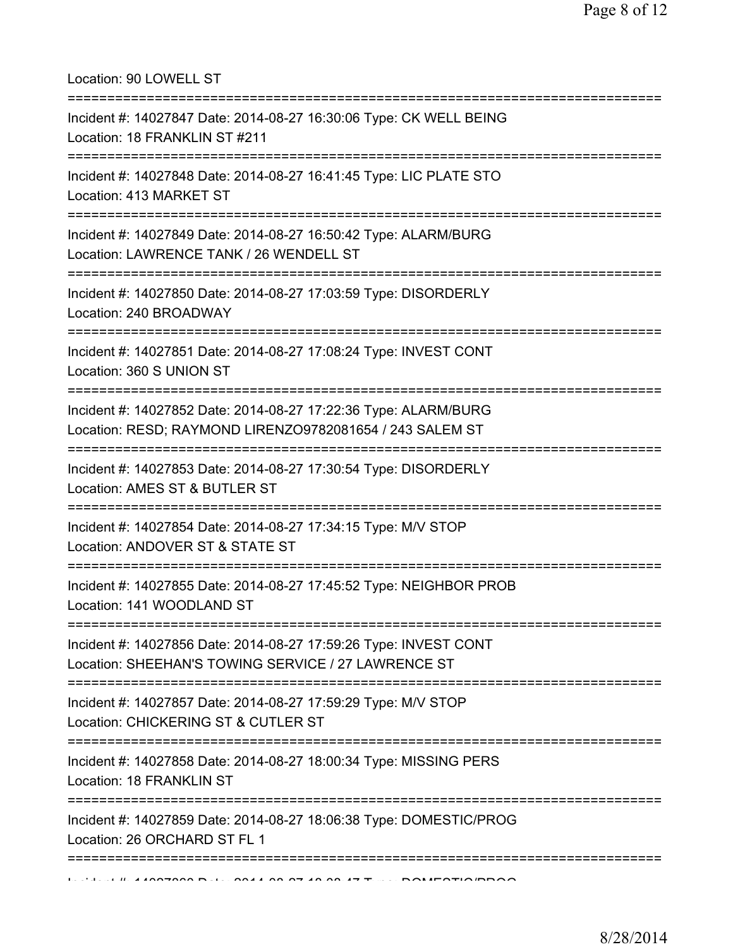Location: 90 LOWELL ST

| Incident #: 14027847 Date: 2014-08-27 16:30:06 Type: CK WELL BEING<br>Location: 18 FRANKLIN ST #211<br>---------------------                      |
|---------------------------------------------------------------------------------------------------------------------------------------------------|
| Incident #: 14027848 Date: 2014-08-27 16:41:45 Type: LIC PLATE STO<br>Location: 413 MARKET ST                                                     |
| Incident #: 14027849 Date: 2014-08-27 16:50:42 Type: ALARM/BURG<br>Location: LAWRENCE TANK / 26 WENDELL ST<br>;================================== |
| Incident #: 14027850 Date: 2014-08-27 17:03:59 Type: DISORDERLY<br>Location: 240 BROADWAY                                                         |
| Incident #: 14027851 Date: 2014-08-27 17:08:24 Type: INVEST CONT<br>Location: 360 S UNION ST                                                      |
| Incident #: 14027852 Date: 2014-08-27 17:22:36 Type: ALARM/BURG<br>Location: RESD; RAYMOND LIRENZO9782081654 / 243 SALEM ST                       |
| Incident #: 14027853 Date: 2014-08-27 17:30:54 Type: DISORDERLY<br>Location: AMES ST & BUTLER ST                                                  |
| Incident #: 14027854 Date: 2014-08-27 17:34:15 Type: M/V STOP<br>Location: ANDOVER ST & STATE ST                                                  |
| Incident #: 14027855 Date: 2014-08-27 17:45:52 Type: NEIGHBOR PROB<br>Location: 141 WOODLAND ST                                                   |
| Incident #: 14027856 Date: 2014-08-27 17:59:26 Type: INVEST CONT<br>Location: SHEEHAN'S TOWING SERVICE / 27 LAWRENCE ST                           |
| Incident #: 14027857 Date: 2014-08-27 17:59:29 Type: M/V STOP<br>Location: CHICKERING ST & CUTLER ST                                              |
| Incident #: 14027858 Date: 2014-08-27 18:00:34 Type: MISSING PERS<br>Location: 18 FRANKLIN ST                                                     |
| Incident #: 14027859 Date: 2014-08-27 18:06:38 Type: DOMESTIC/PROG<br>Location: 26 ORCHARD ST FL 1                                                |
|                                                                                                                                                   |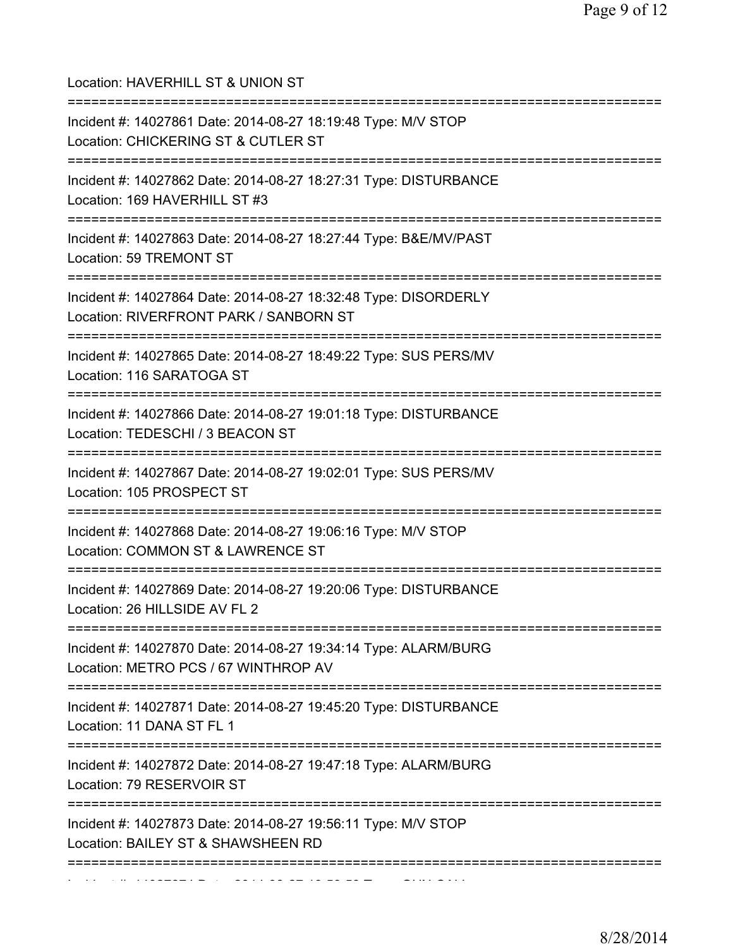| Location: HAVERHILL ST & UNION ST<br>=====================================                                                              |
|-----------------------------------------------------------------------------------------------------------------------------------------|
| Incident #: 14027861 Date: 2014-08-27 18:19:48 Type: M/V STOP<br>Location: CHICKERING ST & CUTLER ST<br>.============================== |
| Incident #: 14027862 Date: 2014-08-27 18:27:31 Type: DISTURBANCE<br>Location: 169 HAVERHILL ST #3                                       |
| Incident #: 14027863 Date: 2014-08-27 18:27:44 Type: B&E/MV/PAST<br>Location: 59 TREMONT ST                                             |
| Incident #: 14027864 Date: 2014-08-27 18:32:48 Type: DISORDERLY<br>Location: RIVERFRONT PARK / SANBORN ST                               |
| Incident #: 14027865 Date: 2014-08-27 18:49:22 Type: SUS PERS/MV<br>Location: 116 SARATOGA ST                                           |
| Incident #: 14027866 Date: 2014-08-27 19:01:18 Type: DISTURBANCE<br>Location: TEDESCHI / 3 BEACON ST                                    |
| Incident #: 14027867 Date: 2014-08-27 19:02:01 Type: SUS PERS/MV<br>Location: 105 PROSPECT ST<br>====================================== |
| Incident #: 14027868 Date: 2014-08-27 19:06:16 Type: M/V STOP<br>Location: COMMON ST & LAWRENCE ST                                      |
| Incident #: 14027869 Date: 2014-08-27 19:20:06 Type: DISTURBANCE<br>Location: 26 HILLSIDE AV FL 2<br>==============================     |
| Incident #: 14027870 Date: 2014-08-27 19:34:14 Type: ALARM/BURG<br>Location: METRO PCS / 67 WINTHROP AV                                 |
| :=======================<br>Incident #: 14027871 Date: 2014-08-27 19:45:20 Type: DISTURBANCE<br>Location: 11 DANA ST FL 1               |
| Incident #: 14027872 Date: 2014-08-27 19:47:18 Type: ALARM/BURG<br>Location: 79 RESERVOIR ST                                            |
| ================<br>Incident #: 14027873 Date: 2014-08-27 19:56:11 Type: M/V STOP<br>Location: BAILEY ST & SHAWSHEEN RD                 |
|                                                                                                                                         |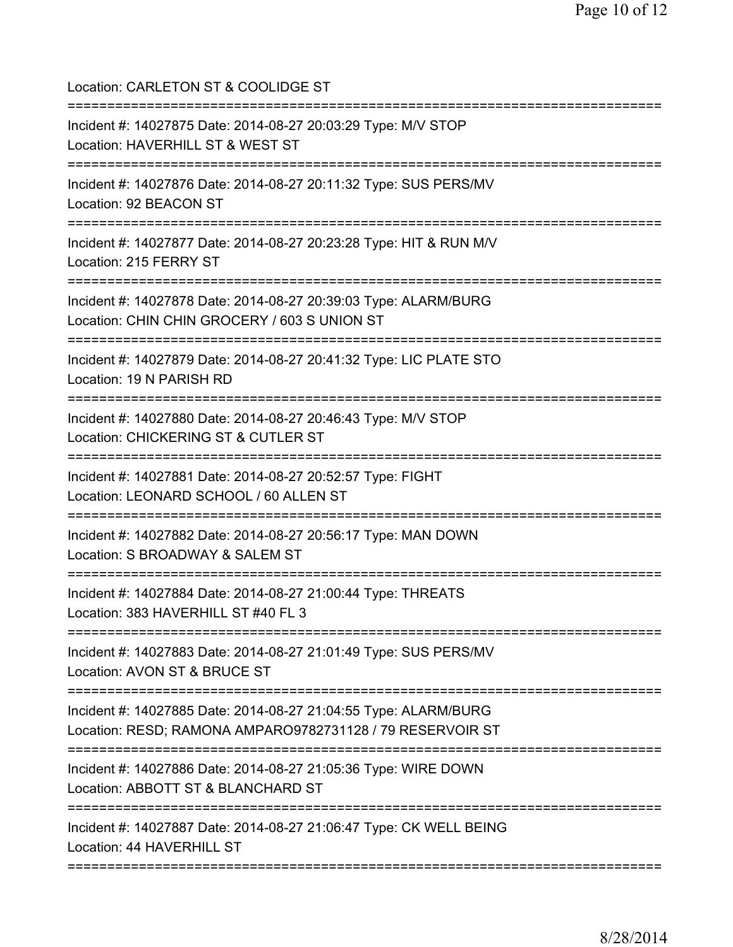Location: CARLETON ST & COOLIDGE ST =========================================================================== Incident #: 14027875 Date: 2014-08-27 20:03:29 Type: M/V STOP Location: HAVERHILL ST & WEST ST =========================================================================== Incident #: 14027876 Date: 2014-08-27 20:11:32 Type: SUS PERS/MV Location: 92 BEACON ST =========================================================================== Incident #: 14027877 Date: 2014-08-27 20:23:28 Type: HIT & RUN M/V Location: 215 FERRY ST =========================================================================== Incident #: 14027878 Date: 2014-08-27 20:39:03 Type: ALARM/BURG Location: CHIN CHIN GROCERY / 603 S UNION ST =========================================================================== Incident #: 14027879 Date: 2014-08-27 20:41:32 Type: LIC PLATE STO Location: 19 N PARISH RD =========================================================================== Incident #: 14027880 Date: 2014-08-27 20:46:43 Type: M/V STOP Location: CHICKERING ST & CUTLER ST =========================================================================== Incident #: 14027881 Date: 2014-08-27 20:52:57 Type: FIGHT Location: LEONARD SCHOOL / 60 ALLEN ST =========================================================================== Incident #: 14027882 Date: 2014-08-27 20:56:17 Type: MAN DOWN Location: S BROADWAY & SALEM ST =========================================================================== Incident #: 14027884 Date: 2014-08-27 21:00:44 Type: THREATS Location: 383 HAVERHILL ST #40 FL 3 =========================================================================== Incident #: 14027883 Date: 2014-08-27 21:01:49 Type: SUS PERS/MV Location: AVON ST & BRUCE ST =========================================================================== Incident #: 14027885 Date: 2014-08-27 21:04:55 Type: ALARM/BURG Location: RESD; RAMONA AMPARO9782731128 / 79 RESERVOIR ST =========================================================================== Incident #: 14027886 Date: 2014-08-27 21:05:36 Type: WIRE DOWN Location: ABBOTT ST & BLANCHARD ST =========================================================================== Incident #: 14027887 Date: 2014-08-27 21:06:47 Type: CK WELL BEING Location: 44 HAVERHILL ST ===========================================================================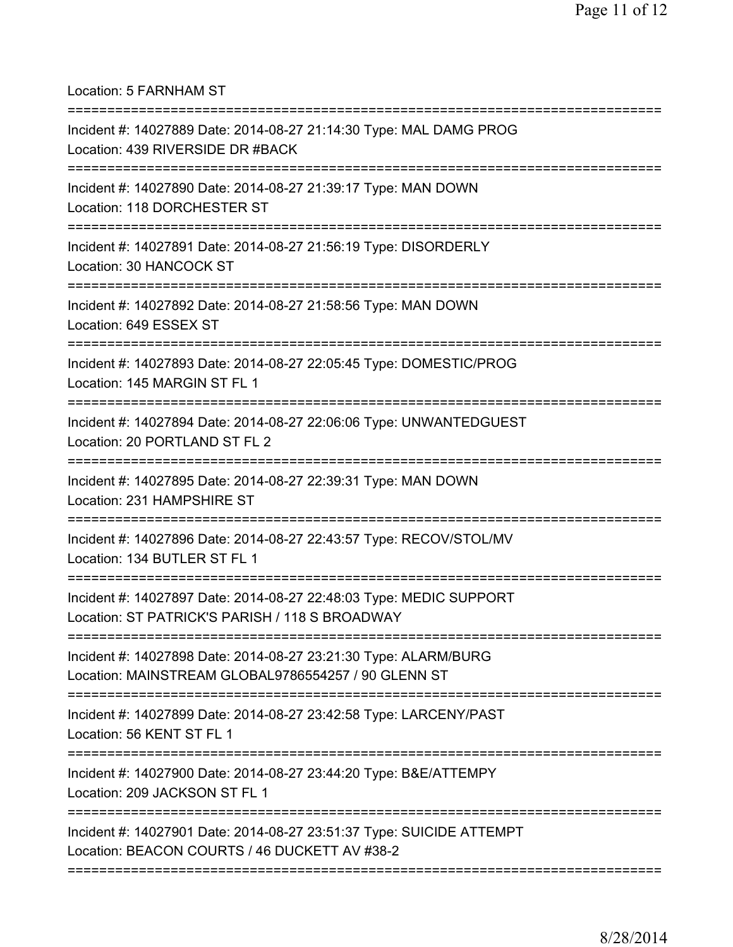Location: 5 FARNHAM ST

| Incident #: 14027889 Date: 2014-08-27 21:14:30 Type: MAL DAMG PROG<br>Location: 439 RIVERSIDE DR #BACK                               |
|--------------------------------------------------------------------------------------------------------------------------------------|
| Incident #: 14027890 Date: 2014-08-27 21:39:17 Type: MAN DOWN<br>Location: 118 DORCHESTER ST                                         |
| Incident #: 14027891 Date: 2014-08-27 21:56:19 Type: DISORDERLY<br>Location: 30 HANCOCK ST<br>===============================        |
| Incident #: 14027892 Date: 2014-08-27 21:58:56 Type: MAN DOWN<br>Location: 649 ESSEX ST                                              |
| Incident #: 14027893 Date: 2014-08-27 22:05:45 Type: DOMESTIC/PROG<br>Location: 145 MARGIN ST FL 1                                   |
| Incident #: 14027894 Date: 2014-08-27 22:06:06 Type: UNWANTEDGUEST<br>Location: 20 PORTLAND ST FL 2                                  |
| Incident #: 14027895 Date: 2014-08-27 22:39:31 Type: MAN DOWN<br>Location: 231 HAMPSHIRE ST                                          |
| Incident #: 14027896 Date: 2014-08-27 22:43:57 Type: RECOV/STOL/MV<br>Location: 134 BUTLER ST FL 1                                   |
| Incident #: 14027897 Date: 2014-08-27 22:48:03 Type: MEDIC SUPPORT<br>Location: ST PATRICK'S PARISH / 118 S BROADWAY                 |
| Incident #: 14027898 Date: 2014-08-27 23:21:30 Type: ALARM/BURG<br>Location: MAINSTREAM GLOBAL9786554257 / 90 GLENN ST               |
| Incident #: 14027899 Date: 2014-08-27 23:42:58 Type: LARCENY/PAST<br>Location: 56 KENT ST FL 1                                       |
| Incident #: 14027900 Date: 2014-08-27 23:44:20 Type: B&E/ATTEMPY<br>Location: 209 JACKSON ST FL 1                                    |
| :==========<br>Incident #: 14027901 Date: 2014-08-27 23:51:37 Type: SUICIDE ATTEMPT<br>Location: BEACON COURTS / 46 DUCKETT AV #38-2 |
|                                                                                                                                      |